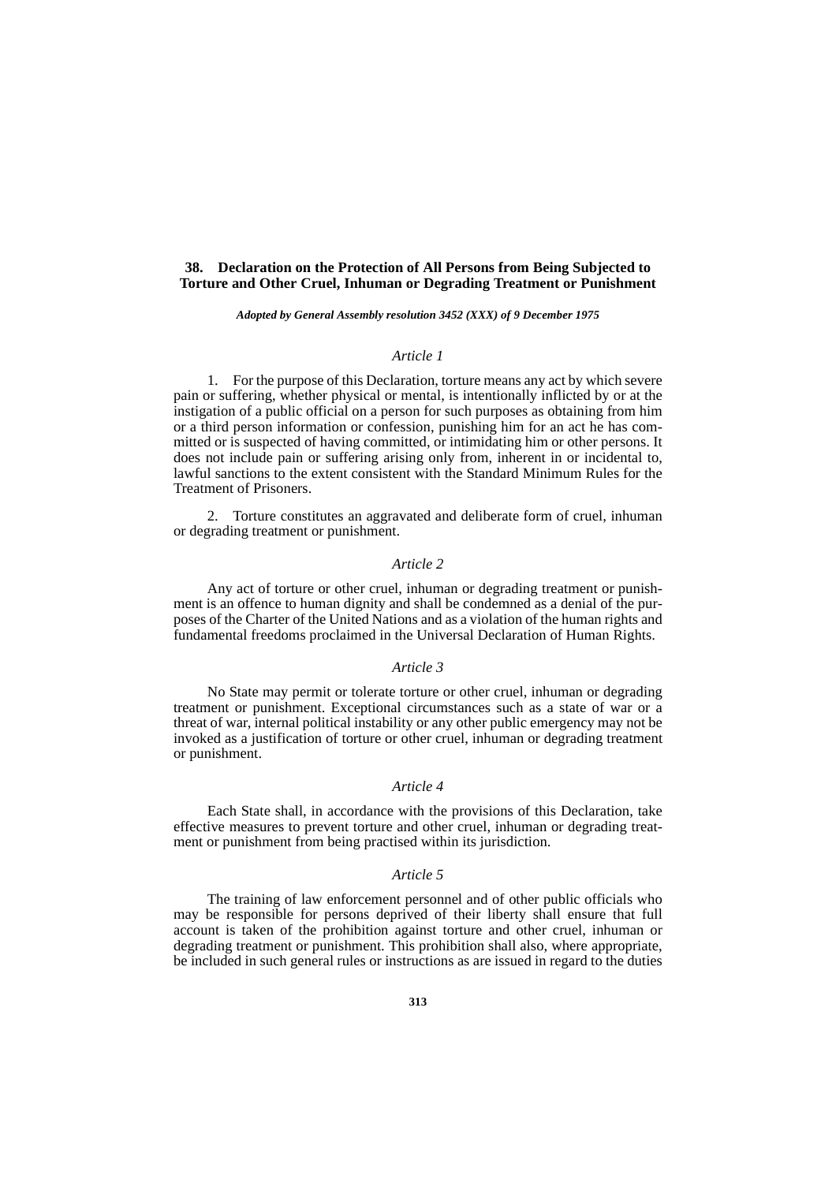## **38. Declaration on the Protection of All Persons from Being Subjected to Torture and Other Cruel, Inhuman or Degrading Treatment or Punishment**

#### *Adopted by General Assembly resolution 3452 (XXX) of 9 December 1975*

# *Article 1*

1. For the purpose of this Declaration, torture means any act by which severe pain or suffering, whether physical or mental, is intentionally inflicted by or at the instigation of a public official on a person for such purposes as obtaining from him or a third person information or confession, punishing him for an act he has committed or is suspected of having committed, or intimidating him or other persons. It does not include pain or suffering arising only from, inherent in or incidental to, lawful sanctions to the extent consistent with the Standard Minimum Rules for the Treatment of Prisoners.

2. Torture constitutes an aggravated and deliberate form of cruel, inhuman or degrading treatment or punishment.

## *Article 2*

Any act of torture or other cruel, inhuman or degrading treatment or punishment is an offence to human dignity and shall be condemned as a denial of the purposes of the Charter of the United Nations and as a violation of the human rights and fundamental freedoms proclaimed in the Universal Declaration of Human Rights.

## *Article 3*

No State may permit or tolerate torture or other cruel, inhuman or degrading treatment or punishment. Exceptional circumstances such as a state of war or a threat of war, internal political instability or any other public emergency may not be invoked as a justification of torture or other cruel, inhuman or degrading treatment or punishment.

### *Article 4*

Each State shall, in accordance with the provisions of this Declaration, take effective measures to prevent torture and other cruel, inhuman or degrading treatment or punishment from being practised within its jurisdiction.

### *Article 5*

The training of law enforcement personnel and of other public officials who may be responsible for persons deprived of their liberty shall ensure that full account is taken of the prohibition against torture and other cruel, inhuman or degrading treatment or punishment. This prohibition shall also, where appropriate, be included in such general rules or instructions as are issued in regard to the duties